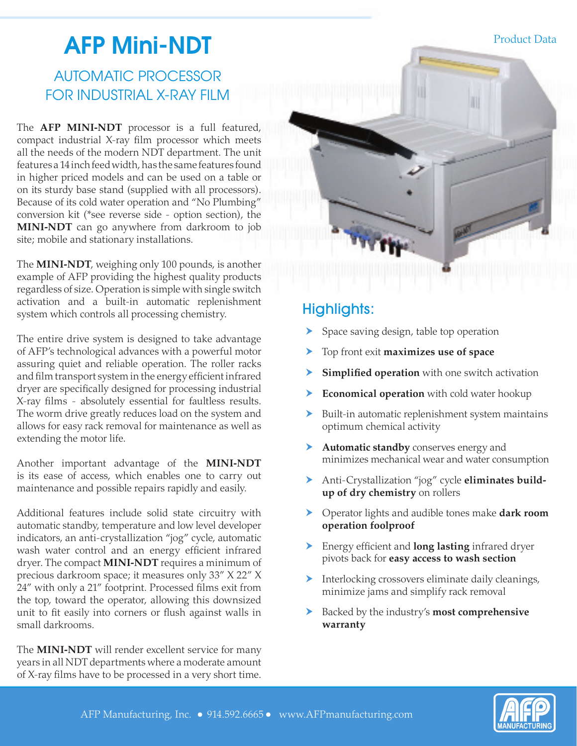# **AFP Mini-NDT** Product Data

# AUTOMATIC PROCESSOR FOR INDUSTRIAL X-RAY FILM

The **AFP MINI-NDT** processor is a full featured, compact industrial X-ray film processor which meets all the needs of the modern NDT department. The unit features a 14 inch feed width, has the same features found in higher priced models and can be used on a table or on its sturdy base stand (supplied with all processors). Because of its cold water operation and "No Plumbing" conversion kit (\*see reverse side - option section), the **MINI-NDT** can go anywhere from darkroom to job site; mobile and stationary installations.

The **MINI-NDT**, weighing only 100 pounds, is another example of AFP providing the highest quality products regardless of size. Operation is simple with single switch activation and a built-in automatic replenishment system which controls all processing chemistry.

The entire drive system is designed to take advantage of AFP's technological advances with a powerful motor assuring quiet and reliable operation. The roller racks and film transport system in the energy efficient infrared dryer are specifically designed for processing industrial X-ray films - absolutely essential for faultless results. The worm drive greatly reduces load on the system and allows for easy rack removal for maintenance as well as extending the motor life.

Another important advantage of the **MINI-NDT** is its ease of access, which enables one to carry out maintenance and possible repairs rapidly and easily.

Additional features include solid state circuitry with automatic standby, temperature and low level developer indicators, an anti-crystallization "jog" cycle, automatic wash water control and an energy efficient infrared dryer. The compact **MINI-NDT** requires a minimum of precious darkroom space; it measures only 33" X 22" X 24" with only a 21" footprint. Processed films exit from the top, toward the operator, allowing this downsized unit to fit easily into corners or flush against walls in small darkrooms.

The **MINI-NDT** will render excellent service for many years in all NDT departments where a moderate amount of X-ray films have to be processed in a very short time.



- **»** Space saving design, table top operation
- **»** h Top front exit **maximizes use of space**
- **» Simplified operation** with one switch activation
- **» Economical operation** with cold water hookup
- **»** Built-in automatic replenishment system maintains optimum chemical activity
- **»** h **Automatic standby** conserves energy and minimizes mechanical wear and water consumption
- Anti-Crystallization "jog" cycle **eliminates build-**<br>**up of dry chemistry** on rollers **up of dry chemistry** on rollers
- **»** h Operator lights and audible tones make **dark room operation foolproof**
- **»** h Energy efficient and **long lasting** infrared dryer pivots back for **easy access to wash section**
- Interlocking crossovers eliminate daily cleanings,<br>
minimize jams and simplify rack removal minimize jams and simplify rack removal
- **»** h Backed by the industry's **most comprehensive warranty**